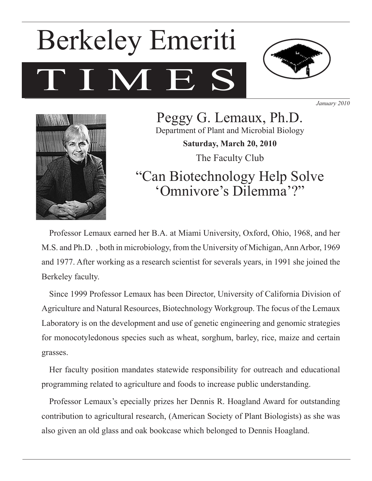# I M E Berkeley Emeriti



*January 2010*



Peggy G. Lemaux, Ph.D. Department of Plant and Microbial Biology **Saturday, March 20, 2010** The Faculty Club "Can Biotechnology Help Solve

'Omnivore's Dilemma'?"

Professor Lemaux earned her B.A. at Miami University, Oxford, Ohio, 1968, and her M.S. and Ph.D. , both in microbiology, from the University of Michigan, Ann Arbor, 1969 and 1977. After working as a research scientist for severals years, in 1991 she joined the Berkeley faculty.

Since 1999 Professor Lemaux has been Director, University of California Division of Agriculture and Natural Resources, Biotechnology Workgroup. The focus of the Lemaux Laboratory is on the development and use of genetic engineering and genomic strategies for monocotyledonous species such as wheat, sorghum, barley, rice, maize and certain grasses.

Her faculty position mandates statewide responsibility for outreach and educational programming related to agriculture and foods to increase public understanding.

Professor Lemaux's epecially prizes her Dennis R. Hoagland Award for outstanding contribution to agricultural research, (American Society of Plant Biologists) as she was also given an old glass and oak bookcase which belonged to Dennis Hoagland.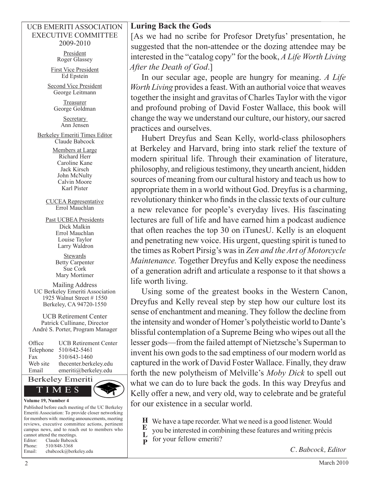#### UCB EMERITI ASSOCIATION EXECUTIVE COMMITTEE 2009-2010

President Roger Glassey

First Vice President Ed Epstein

Second Vice President George Leitmann

> Treasurer George Goldman

> > Secretary Ann Jensen

Berkeley Emeriti Times Editor Claude Babcock

> Members at Large Richard Herr Caroline Kane Jack Kirsch John McNulty Calvin Moore Karl Pister

CUCEA Representative Errol Mauchlan

Past UCBEA Presidents Dick Malkin Errol Mauchlan Louise Taylor Larry Waldron

> **Stewards** Betty Carpenter Sue Cork Mary Mortimer

Mailing Address UC Berkeley Emeriti Association 1925 Walnut Street # 1550 Berkeley, CA 94720-1550

UCB Retirement Center Patrick Cullinane, Director André S. Porter, Program Manager

| Office    | <b>UCB Retirement Center</b> |
|-----------|------------------------------|
| Telephone | 510/642-5461                 |
| Fax       | 510/643-1460                 |
| Web site  | thecenter.berkeley.edu       |
| Email     | emeriti@berkeley.edu         |
|           |                              |



Published before each meeting of the UC Berkeley Emeriti Association: To provide closer networking for members with: meeting announcements, meeting reviews, executive committee actions, pertinent campus news, and to reach out to members who cannot attend the meetings. Editor: Claude Babcock Phone: 510/848-3368 Email: cbabcock@berkeley.edu

## **Luring Back the Gods**

[As we had no scribe for Profesor Dretyfus' presentation, he suggested that the non-attendee or the dozing attendee may be interested in the "catalog copy" for the book, *A Life Worth Living After the Death of God*.]

In our secular age, people are hungry for meaning. *A Life Worth Living* provides a feast. With an authorial voice that weaves together the insight and gravitas of Charles Taylor with the vigor and profound probing of David Foster Wallace, this book will change the way we understand our culture, our history, our sacred practices and ourselves.

Hubert Dreyfus and Sean Kelly, world-class philosophers at Berkeley and Harvard, bring into stark relief the texture of modern spiritual life. Through their examination of literature, philosophy, and religious testimony, they unearth ancient, hidden sources of meaning from our cultural history and teach us how to appropriate them in a world without God. Dreyfus is a charming, revolutionary thinker who finds in the classic texts of our culture a new relevance for people's everyday lives. His fascinating lectures are full of life and have earned him a podcast audience that often reaches the top 30 on iTunesU. Kelly is an eloquent and penetrating new voice. His urgent, questing spirit is tuned to the times as Robert Pirsig's was in *Zen and the Art of Motorcycle Maintenance.* Together Dreyfus and Kelly expose the neediness of a generation adrift and articulate a response to it that shows a life worth living.

Using some of the greatest books in the Western Canon, Dreyfus and Kelly reveal step by step how our culture lost its sense of enchantment and meaning. They follow the decline from the intensity and wonder of Homer's polytheistic world to Dante's blissful contemplation of a Supreme Being who wipes out all the lesser gods—from the failed attempt of Nietzsche's Superman to invent his own gods to the sad emptiness of our modern world as captured in the work of David Foster Wallace. Finally, they draw forth the new polytheism of Melville's *Moby Dick* to spell out what we can do to lure back the gods. In this way Dreyfus and Kelly offer a new, and very old, way to celebrate and be grateful for our existence in a secular world.

- We have a tape recorder. What we need is a good listener. Would **H**
- you be interested in combining these features and writing précis **E L**
- for your fellow emeriti? **P**

*C. Babcock, Editor*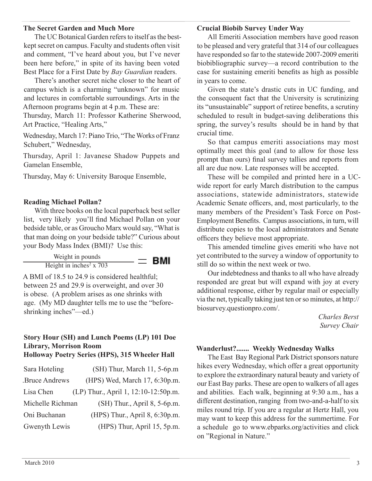#### **The Secret Garden and Much More**

The UC Botanical Garden refers to itself as the bestkept secret on campus. Faculty and students often visit and comment, "I've heard about you, but I've never been here before," in spite of its having been voted Best Place for a First Date by *Bay Guardian* readers.

There's another secret niche closer to the heart of campus which is a charming "unknown" for music and lectures in comfortable surroundings. Arts in the Afternoon programs begin at 4 p.m. These are:

Thursday, March 11: Professor Katherine Sherwood, Art Practice, "Healing Arts,"

Wednesday, March 17: Piano Trio, "The Works of Franz Schubert," Wednesday,

Thursday, April 1: Javanese Shadow Puppets and Gamelan Ensemble,

Thursday, May 6: University Baroque Ensemble,

## **Reading Michael Pollan?**

With three books on the local paperback best seller list, very likely you'll find Michael Pollan on your bedside table, or as Groucho Marx would say, "What is that man doing on your bedside table?" Curious about your Body Mass Index (BMI)? Use this:

$$
\frac{\text{Weight in pounds}}{\text{Height in inches}^2 \times 703} = \text{BMI}
$$

A BMI of 18.5 to 24.9 is considered healthful; between 25 and 29.9 is overweight, and over 30 is obese. (A problem arises as one shrinks with age. (My MD daughter tells me to use the "beforeshrinking inches"—ed.)

## **Story Hour (SH) and Lunch Poems (LP) 101 Doe Library, Morrison Room**

## **Holloway Poetry Series (HPS), 315 Wheeler Hall**

| Sara Hoteling    | (SH) Thur, March 11, 5-6p.m          |
|------------------|--------------------------------------|
| Bruce Andrews    | (HPS) Wed, March 17, 6:30p.m.        |
| Lisa Chen        | (LP) Thur., April 1, 12:10-12:50p.m. |
| Michelle Richman | (SH) Thur., April 8, 5-6p.m.         |
| Oni Buchanan     | (HPS) Thur., April 8, 6:30p.m.       |
| Gwenyth Lewis    | (HPS) Thur, April 15, 5p.m.          |

#### **Crucial Biobib Survey Under Way**

All Emeriti Association members have good reason to be pleased and very grateful that 314 of our colleagues have responded so far to the statewide 2007-2009 emeriti biobibliographic survey—a record contribution to the case for sustaining emeriti benefits as high as possible in years to come.

Given the state's drastic cuts in UC funding, and the consequent fact that the University is scrutinizing its "unsustainable" support of retiree benefits, a scrutiny scheduled to result in budget-saving deliberations this spring, the survey's results should be in hand by that crucial time.

So that campus emeriti associations may most optimally meet this goal (and to allow for those less prompt than ours) final survey tallies and reports from all are due now. Late responses will be accepted.

These will be compiled and printed here in a UCwide report for early March distribution to the campus associations, statewide administrators, statewide Academic Senate officers, and, most particularly, to the many members of the President's Task Force on Post-Employment Benefits. Campus associations, in turn, will distribute copies to the local administrators and Senate officers they believe most appropriate.

This amended timeline gives emeriti who have not yet contributed to the survey a window of opportunity to still do so within the next week or two.

Our indebtedness and thanks to all who have already responded are great but will expand with joy at every additional response, either by regular mail or especially via the net, typically taking just ten or so minutes, at http:// biosurvey.questionpro.com/.

> *Charles Berst Survey Chair*

## **Wanderlust?....... Weekly Wednesday Walks**

The East Bay Regional Park District sponsors nature hikes every Wednesday, which offer a great opportunity to explore the extraordinary natural beauty and variety of our East Bay parks. These are open to walkers of all ages and abilities. Each walk, beginning at 9:30 a.m., has a different destination, ranging from two-and-a-half to six miles round trip. If you are a regular at Hertz Hall, you may want to keep this address for the summertime. For a schedule go to www.ebparks.org/activities and click on "Regional in Nature."